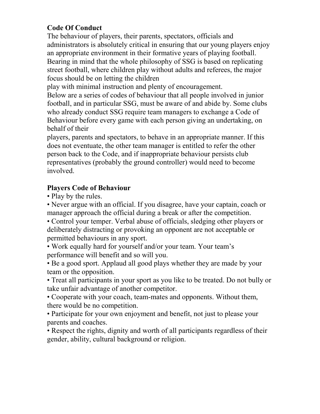### **Code Of Conduct**

The behaviour of players, their parents, spectators, officials and administrators is absolutely critical in ensuring that our young players enjoy an appropriate environment in their formative years of playing football. Bearing in mind that the whole philosophy of SSG is based on replicating street football, where children play without adults and referees, the major focus should be on letting the children

play with minimal instruction and plenty of encouragement.

Below are a series of codes of behaviour that all people involved in junior football, and in particular SSG, must be aware of and abide by. Some clubs who already conduct SSG require team managers to exchange a Code of Behaviour before every game with each person giving an undertaking, on behalf of their

players, parents and spectators, to behave in an appropriate manner. If this does not eventuate, the other team manager is entitled to refer the other person back to the Code, and if inappropriate behaviour persists club representatives (probably the ground controller) would need to become involved.

## **Players Code of Behaviour**

• Play by the rules.

• Never argue with an official. If you disagree, have your captain, coach or manager approach the official during a break or after the competition.

• Control your temper. Verbal abuse of officials, sledging other players or deliberately distracting or provoking an opponent are not acceptable or permitted behaviours in any sport.

• Work equally hard for yourself and/or your team. Your team's performance will benefit and so will you.

• Be a good sport. Applaud all good plays whether they are made by your team or the opposition.

• Treat all participants in your sport as you like to be treated. Do not bully or take unfair advantage of another competitor.

• Cooperate with your coach, team-mates and opponents. Without them, there would be no competition.

• Participate for your own enjoyment and benefit, not just to please your parents and coaches.

• Respect the rights, dignity and worth of all participants regardless of their gender, ability, cultural background or religion.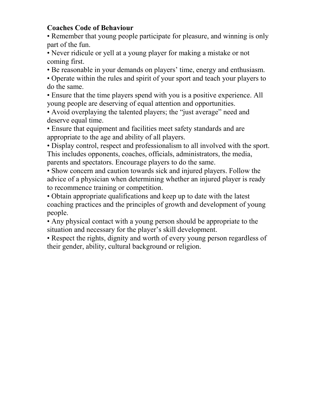#### **Coaches Code of Behaviour**

• Remember that young people participate for pleasure, and winning is only part of the fun.

• Never ridicule or yell at a young player for making a mistake or not coming first.

• Be reasonable in your demands on players' time, energy and enthusiasm.

• Operate within the rules and spirit of your sport and teach your players to do the same.

• Ensure that the time players spend with you is a positive experience. All young people are deserving of equal attention and opportunities.

• Avoid overplaying the talented players; the "just average" need and deserve equal time.

• Ensure that equipment and facilities meet safety standards and are appropriate to the age and ability of all players.

• Display control, respect and professionalism to all involved with the sport. This includes opponents, coaches, officials, administrators, the media, parents and spectators. Encourage players to do the same.

• Show concern and caution towards sick and injured players. Follow the advice of a physician when determining whether an injured player is ready to recommence training or competition.

• Obtain appropriate qualifications and keep up to date with the latest coaching practices and the principles of growth and development of young people.

• Any physical contact with a young person should be appropriate to the situation and necessary for the player's skill development.

• Respect the rights, dignity and worth of every young person regardless of their gender, ability, cultural background or religion.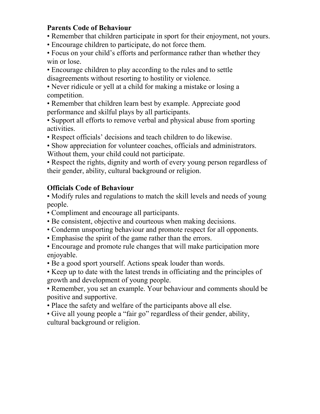#### **Parents Code of Behaviour**

• Remember that children participate in sport for their enjoyment, not yours.

• Encourage children to participate, do not force them.

• Focus on your child's efforts and performance rather than whether they win or lose.

• Encourage children to play according to the rules and to settle disagreements without resorting to hostility or violence.

• Never ridicule or yell at a child for making a mistake or losing a competition.

• Remember that children learn best by example. Appreciate good performance and skilful plays by all participants.

• Support all efforts to remove verbal and physical abuse from sporting activities.

• Respect officials' decisions and teach children to do likewise.

• Show appreciation for volunteer coaches, officials and administrators. Without them, your child could not participate.

• Respect the rights, dignity and worth of every young person regardless of their gender, ability, cultural background or religion.

## **Officials Code of Behaviour**

• Modify rules and regulations to match the skill levels and needs of young people.

• Compliment and encourage all participants.

- Be consistent, objective and courteous when making decisions.
- Condemn unsporting behaviour and promote respect for all opponents.
- Emphasise the spirit of the game rather than the errors.

• Encourage and promote rule changes that will make participation more enjoyable.

• Be a good sport yourself. Actions speak louder than words.

• Keep up to date with the latest trends in officiating and the principles of growth and development of young people.

• Remember, you set an example. Your behaviour and comments should be positive and supportive.

• Place the safety and welfare of the participants above all else.

• Give all young people a "fair go" regardless of their gender, ability, cultural background or religion.